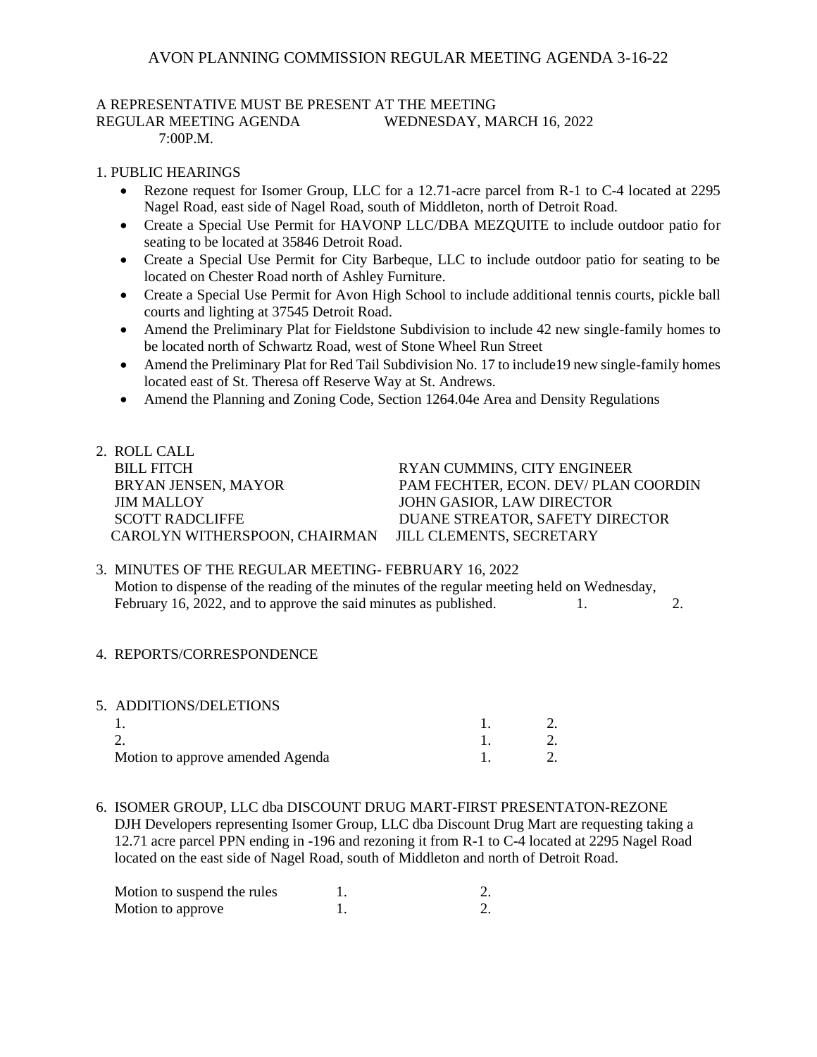# A REPRESENTATIVE MUST BE PRESENT AT THE MEETING

REGULAR MEETING AGENDA WEDNESDAY, MARCH 16, 2022  $7:00P$  M

#### 1. PUBLIC HEARINGS

- Rezone request for Isomer Group, LLC for a 12.71-acre parcel from R-1 to C-4 located at 2295 Nagel Road, east side of Nagel Road, south of Middleton, north of Detroit Road.
- Create a Special Use Permit for HAVONP LLC/DBA MEZQUITE to include outdoor patio for seating to be located at 35846 Detroit Road.
- Create a Special Use Permit for City Barbeque, LLC to include outdoor patio for seating to be located on Chester Road north of Ashley Furniture.
- Create a Special Use Permit for Avon High School to include additional tennis courts, pickle ball courts and lighting at 37545 Detroit Road.
- Amend the Preliminary Plat for Fieldstone Subdivision to include 42 new single-family homes to be located north of Schwartz Road, west of Stone Wheel Run Street
- Amend the Preliminary Plat for Red Tail Subdivision No. 17 to include 19 new single-family homes located east of St. Theresa off Reserve Way at St. Andrews.
- Amend the Planning and Zoning Code, Section 1264.04e Area and Density Regulations

| 2. ROLL CALL                  |                                     |
|-------------------------------|-------------------------------------|
| <b>BILL FITCH</b>             | RYAN CUMMINS, CITY ENGINEER         |
| BRYAN JENSEN, MAYOR           | PAM FECHTER, ECON. DEV/PLAN COORDIN |
| <b>JIM MALLOY</b>             | JOHN GASIOR, LAW DIRECTOR           |
| <b>SCOTT RADCLIFFE</b>        | DUANE STREATOR, SAFETY DIRECTOR     |
| CAROLYN WITHERSPOON, CHAIRMAN | <b>JILL CLEMENTS, SECRETARY</b>     |
|                               |                                     |

#### 3. MINUTES OF THE REGULAR MEETING- FEBRUARY 16, 2022 Motion to dispense of the reading of the minutes of the regular meeting held on Wednesday, February 16, 2022, and to approve the said minutes as published. 1. 2.

- 4. REPORTS/CORRESPONDENCE
- 5. ADDITIONS/DELETIONS 1. 1. 2. 2. 1. 2. Motion to approve amended Agenda 1. 2.
- 6. ISOMER GROUP, LLC dba DISCOUNT DRUG MART-FIRST PRESENTATON-REZONE DJH Developers representing Isomer Group, LLC dba Discount Drug Mart are requesting taking a 12.71 acre parcel PPN ending in -196 and rezoning it from R-1 to C-4 located at 2295 Nagel Road located on the east side of Nagel Road, south of Middleton and north of Detroit Road.

| Motion to suspend the rules |  |
|-----------------------------|--|
| Motion to approve           |  |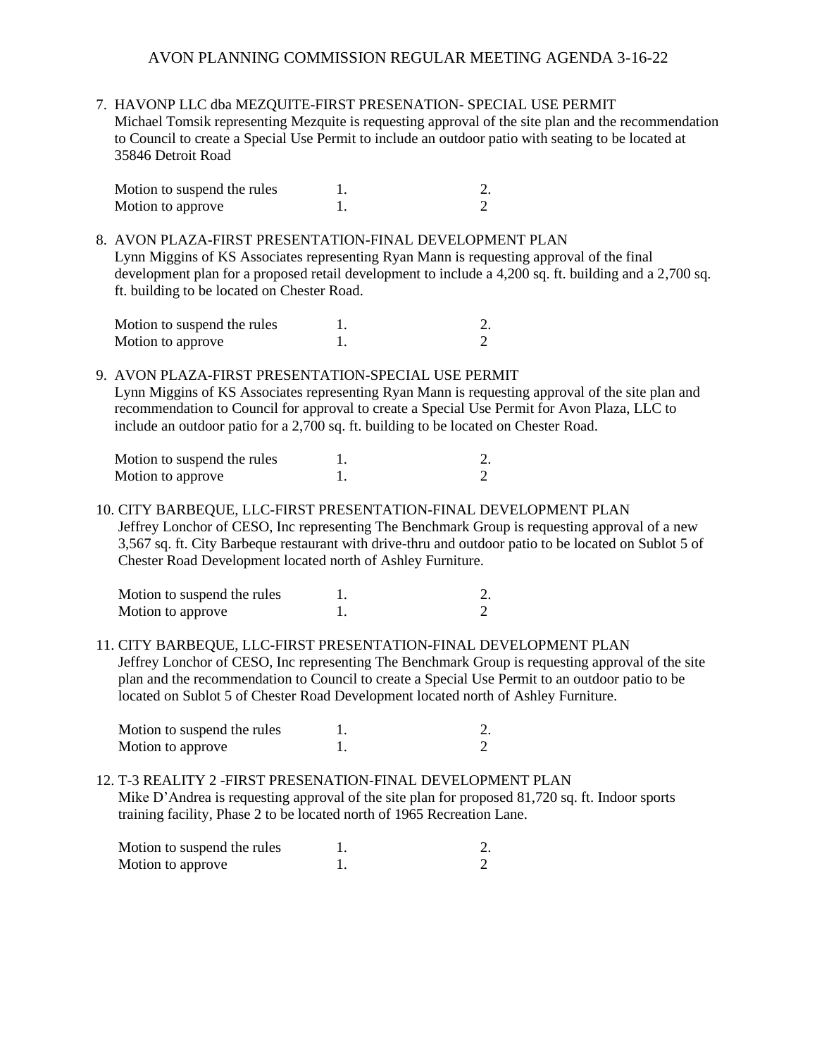7. HAVONP LLC dba MEZQUITE-FIRST PRESENATION- SPECIAL USE PERMIT Michael Tomsik representing Mezquite is requesting approval of the site plan and the recommendation to Council to create a Special Use Permit to include an outdoor patio with seating to be located at 35846 Detroit Road

| Motion to suspend the rules |  |
|-----------------------------|--|
| Motion to approve           |  |

8. AVON PLAZA-FIRST PRESENTATION-FINAL DEVELOPMENT PLAN Lynn Miggins of KS Associates representing Ryan Mann is requesting approval of the final development plan for a proposed retail development to include a 4,200 sq. ft. building and a 2,700 sq. ft. building to be located on Chester Road.

| Motion to suspend the rules |  |
|-----------------------------|--|
| Motion to approve           |  |

9. AVON PLAZA-FIRST PRESENTATION-SPECIAL USE PERMIT

 Lynn Miggins of KS Associates representing Ryan Mann is requesting approval of the site plan and recommendation to Council for approval to create a Special Use Permit for Avon Plaza, LLC to include an outdoor patio for a 2,700 sq. ft. building to be located on Chester Road.

| Motion to suspend the rules |  |
|-----------------------------|--|
| Motion to approve           |  |

10. CITY BARBEQUE, LLC-FIRST PRESENTATION-FINAL DEVELOPMENT PLAN Jeffrey Lonchor of CESO, Inc representing The Benchmark Group is requesting approval of a new 3,567 sq. ft. City Barbeque restaurant with drive-thru and outdoor patio to be located on Sublot 5 of Chester Road Development located north of Ashley Furniture.

| Motion to suspend the rules |  |
|-----------------------------|--|
| Motion to approve           |  |

11. CITY BARBEQUE, LLC-FIRST PRESENTATION-FINAL DEVELOPMENT PLAN Jeffrey Lonchor of CESO, Inc representing The Benchmark Group is requesting approval of the site plan and the recommendation to Council to create a Special Use Permit to an outdoor patio to be located on Sublot 5 of Chester Road Development located north of Ashley Furniture.

| Motion to suspend the rules |  |
|-----------------------------|--|
| Motion to approve           |  |

12. T-3 REALITY 2 -FIRST PRESENATION-FINAL DEVELOPMENT PLAN Mike D'Andrea is requesting approval of the site plan for proposed 81,720 sq. ft. Indoor sports training facility, Phase 2 to be located north of 1965 Recreation Lane.

| Motion to suspend the rules |  |
|-----------------------------|--|
| Motion to approve           |  |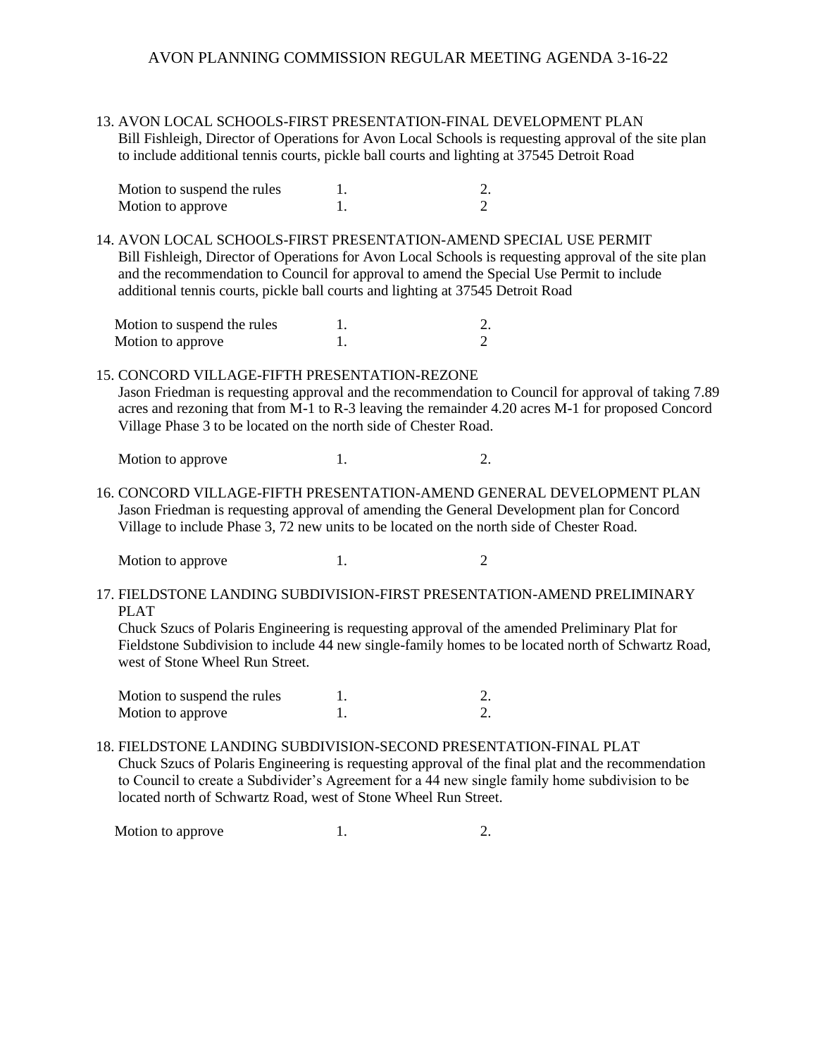13. AVON LOCAL SCHOOLS-FIRST PRESENTATION-FINAL DEVELOPMENT PLAN Bill Fishleigh, Director of Operations for Avon Local Schools is requesting approval of the site plan to include additional tennis courts, pickle ball courts and lighting at 37545 Detroit Road

| Motion to suspend the rules |  |
|-----------------------------|--|
| Motion to approve           |  |

14. AVON LOCAL SCHOOLS-FIRST PRESENTATION-AMEND SPECIAL USE PERMIT Bill Fishleigh, Director of Operations for Avon Local Schools is requesting approval of the site plan and the recommendation to Council for approval to amend the Special Use Permit to include additional tennis courts, pickle ball courts and lighting at 37545 Detroit Road

| Motion to suspend the rules |  |
|-----------------------------|--|
| Motion to approve           |  |

## 15. CONCORD VILLAGE-FIFTH PRESENTATION-REZONE

 Jason Friedman is requesting approval and the recommendation to Council for approval of taking 7.89 acres and rezoning that from M-1 to R-3 leaving the remainder 4.20 acres M-1 for proposed Concord Village Phase 3 to be located on the north side of Chester Road.

Motion to approve 1. 2.

16. CONCORD VILLAGE-FIFTH PRESENTATION-AMEND GENERAL DEVELOPMENT PLAN Jason Friedman is requesting approval of amending the General Development plan for Concord Village to include Phase 3, 72 new units to be located on the north side of Chester Road.

Motion to approve 1. 2

17. FIELDSTONE LANDING SUBDIVISION-FIRST PRESENTATION-AMEND PRELIMINARY PLAT

 Chuck Szucs of Polaris Engineering is requesting approval of the amended Preliminary Plat for Fieldstone Subdivision to include 44 new single-family homes to be located north of Schwartz Road, west of Stone Wheel Run Street.

| Motion to suspend the rules |  |
|-----------------------------|--|
| Motion to approve           |  |

18. FIELDSTONE LANDING SUBDIVISION-SECOND PRESENTATION-FINAL PLAT Chuck Szucs of Polaris Engineering is requesting approval of the final plat and the recommendation to Council to create a Subdivider's Agreement for a 44 new single family home subdivision to be located north of Schwartz Road, west of Stone Wheel Run Street.

Motion to approve 1. 2.